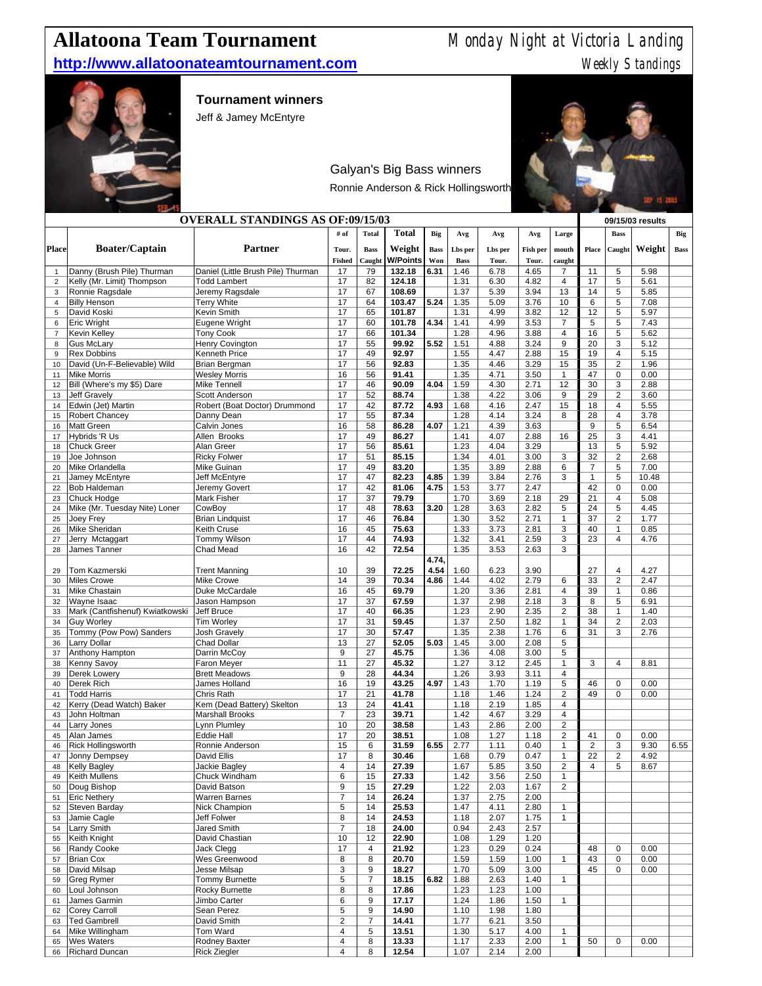# **Allatoona Team Tournament** Monday Night at Victoria Landing

### **http://www.allatoonateamtournament.com** Weekly Standings



### **Tournament winners**

Jeff & Jamey McEntyre



## Galyan's Big Bass winners

Ronnie Anderson & Rick Hollingsworth

| <b>OVERALL STANDINGS AS OF:09/15/03</b> |                                               |                                                           |                       |              |                  |             |              |              |              |                                  |                                | 09/15/03 results                 |               |             |
|-----------------------------------------|-----------------------------------------------|-----------------------------------------------------------|-----------------------|--------------|------------------|-------------|--------------|--------------|--------------|----------------------------------|--------------------------------|----------------------------------|---------------|-------------|
|                                         |                                               |                                                           | # of                  | <b>Total</b> | <b>Total</b>     | Big         | Avg          | Avg          | Avg          | Large                            |                                | <b>Bass</b>                      |               | Big         |
| Place                                   | <b>Boater/Captain</b>                         | Partner                                                   | Tour.                 | <b>Bass</b>  | Weight           | <b>Bass</b> | Lbs per      | Lbs per      | Fish per     | mouth                            | Place                          | Caught                           | Weight        | <b>Bass</b> |
|                                         |                                               |                                                           | <b>Fished</b>         | Caught       | <b>W/Points</b>  | Won         | <b>Bass</b>  | Tour.        | Tour.        | caught                           |                                |                                  |               |             |
| $\mathbf{1}$                            | Danny (Brush Pile) Thurman                    | Daniel (Little Brush Pile) Thurman<br><b>Todd Lambert</b> | 17                    | 79<br>82     | 132.18<br>124.18 | 6.31        | 1.46<br>1.31 | 6.78<br>6.30 | 4.65<br>4.82 | $\overline{7}$<br>$\overline{4}$ | 11<br>17                       | 5<br>5                           | 5.98<br>5.61  |             |
| $\overline{2}$<br>3                     | Kelly (Mr. Limit) Thompson<br>Ronnie Ragsdale | Jeremy Ragsdale                                           | 17<br>17              | 67           | 108.69           |             | 1.37         | 5.39         | 3.94         | 13                               | 14                             | 5                                | 5.85          |             |
| $\overline{4}$                          | <b>Billy Henson</b>                           | <b>Terry White</b>                                        | 17                    | 64           | 103.47           | 5.24        | 1.35         | 5.09         | 3.76         | 10                               | 6                              | 5                                | 7.08          |             |
| 5                                       | David Koski                                   | Kevin Smith                                               | 17                    | 65           | 101.87           |             | 1.31         | 4.99         | 3.82         | 12                               | 12                             | 5                                | 5.97          |             |
| 6                                       | <b>Eric Wright</b>                            | Eugene Wright                                             | 17                    | 60           | 101.78           | 4.34        | 1.41         | 4.99         | 3.53         | $\overline{7}$                   | 5                              | 5                                | 7.43          |             |
| $\overline{7}$<br>8                     | <b>Kevin Kelley</b><br><b>Gus McLary</b>      | <b>Tony Cook</b><br>Henry Covington                       | 17<br>17              | 66<br>55     | 101.34<br>99.92  | 5.52        | 1.28<br>1.51 | 4.96<br>4.88 | 3.88<br>3.24 | 4<br>9                           | 16<br>20                       | 5<br>3                           | 5.62<br>5.12  |             |
| 9                                       | <b>Rex Dobbins</b>                            | Kenneth Price                                             | 17                    | 49           | 92.97            |             | 1.55         | 4.47         | 2.88         | 15                               | 19                             | 4                                | 5.15          |             |
| 10                                      | David (Un-F-Believable) Wild                  | Brian Bergman                                             | 17                    | 56           | 92.83            |             | 1.35         | 4.46         | 3.29         | 15                               | 35                             | $\overline{2}$                   | 1.96          |             |
| 11                                      | <b>Mike Morris</b>                            | <b>Wesley Morris</b>                                      | 16                    | 56           | 91.41            |             | 1.35         | 4.71         | 3.50         | $\mathbf{1}$                     | 47                             | $\mathbf 0$                      | 0.00          |             |
| 12                                      | Bill (Where's my \$5) Dare                    | Mike Tennell                                              | 17                    | 46           | 90.09            | 4.04        | 1.59         | 4.30         | 2.71         | 12                               | 30                             | 3                                | 2.88          |             |
| 13<br>14                                | <b>Jeff Gravely</b>                           | Scott Anderson<br>Robert (Boat Doctor) Drummond           | 17<br>17              | 52<br>42     | 88.74<br>87.72   | 4.93        | 1.38<br>1.68 | 4.22<br>4.16 | 3.06<br>2.47 | 9<br>15                          | 29<br>18                       | $\overline{2}$<br>$\overline{4}$ | 3.60<br>5.55  |             |
| 15                                      | Edwin (Jet) Martin<br><b>Robert Chancey</b>   | Danny Dean                                                | 17                    | 55           | 87.34            |             | 1.28         | 4.14         | 3.24         | 8                                | 28                             | $\overline{4}$                   | 3.78          |             |
| 16                                      | <b>Matt Green</b>                             | Calvin Jones                                              | 16                    | 58           | 86.28            | 4.07        | 1.21         | 4.39         | 3.63         |                                  | 9                              | 5                                | 6.54          |             |
| 17                                      | Hybrids 'R Us                                 | Allen Brooks                                              | 17                    | 49           | 86.27            |             | 1.41         | 4.07         | 2.88         | 16                               | 25                             | 3                                | 4.41          |             |
| 18                                      | <b>Chuck Greer</b>                            | Alan Greer                                                | 17                    | 56           | 85.61            |             | 1.23         | 4.04         | 3.29         |                                  | 13                             | 5                                | 5.92          |             |
| 19                                      | Joe Johnson                                   | <b>Ricky Folwer</b>                                       | 17                    | 51           | 85.15            |             | 1.34         | 4.01         | 3.00         | 3                                | 32                             | $\overline{2}$                   | 2.68          |             |
| 20<br>21                                | Mike Orlandella<br>Jamey McEntyre             | Mike Guinan<br>Jeff McEntyre                              | 17<br>17              | 49<br>47     | 83.20<br>82.23   | 4.85        | 1.35<br>1.39 | 3.89<br>3.84 | 2.88<br>2.76 | 6<br>3                           | $\overline{7}$<br>$\mathbf{1}$ | 5<br>5                           | 7.00<br>10.48 |             |
| 22                                      | <b>Bob Haldeman</b>                           | Jeremy Govert                                             | 17                    | 42           | 81.06            | 4.75        | 1.53         | 3.77         | 2.47         |                                  | 42                             | $\mathbf 0$                      | 0.00          |             |
| 23                                      | Chuck Hodge                                   | Mark Fisher                                               | 17                    | 37           | 79.79            |             | 1.70         | 3.69         | 2.18         | 29                               | 21                             | $\overline{4}$                   | 5.08          |             |
| 24                                      | Mike (Mr. Tuesday Nite) Loner                 | CowBoy                                                    | 17                    | 48           | 78.63            | 3.20        | 1.28         | 3.63         | 2.82         | 5                                | 24                             | 5                                | 4.45          |             |
| 25                                      | Joey Frey                                     | <b>Brian Lindquist</b>                                    | 17                    | 46           | 76.84            |             | 1.30         | 3.52         | 2.71         | $\mathbf 1$                      | 37                             | $\overline{2}$                   | 1.77          |             |
| 26<br>27                                | Mike Sheridan<br>Jerry Mctaggart              | Keith Cruse<br>Tommy Wilson                               | 16<br>17              | 45<br>44     | 75.63<br>74.93   |             | 1.33<br>1.32 | 3.73<br>3.41 | 2.81<br>2.59 | 3<br>3                           | 40<br>23                       | $\mathbf{1}$<br>$\overline{4}$   | 0.85<br>4.76  |             |
| 28                                      | James Tanner                                  | Chad Mead                                                 | 16                    | 42           | 72.54            |             | 1.35         | 3.53         | 2.63         | 3                                |                                |                                  |               |             |
|                                         |                                               |                                                           |                       |              |                  | 4.74,       |              |              |              |                                  |                                |                                  |               |             |
| 29                                      | Tom Kazmerski                                 | <b>Trent Manning</b>                                      | 10                    | 39           | 72.25            | 4.54        | 1.60         | 6.23         | 3.90         |                                  | 27                             | $\overline{4}$                   | 4.27          |             |
| 30                                      | <b>Miles Crowe</b>                            | Mike Crowe                                                | 14                    | 39           | 70.34            | 4.86        | 1.44         | 4.02         | 2.79         | 6                                | 33                             | $\overline{2}$                   | 2.47          |             |
| 31                                      | Mike Chastain<br>Wayne Isaac                  | Duke McCardale<br>Jason Hampson                           | 16<br>17              | 45<br>37     | 69.79            |             | 1.20<br>1.37 | 3.36         | 2.81<br>2.18 | 4<br>3                           | 39<br>8                        | $\mathbf{1}$<br>5                | 0.86<br>6.91  |             |
| 32<br>33                                | Mark (Cantfishenuf) Kwiatkowski               | Jeff Bruce                                                | 17                    | 40           | 67.59<br>66.35   |             | 1.23         | 2.98<br>2.90 | 2.35         | $\overline{2}$                   | 38                             | $\mathbf{1}$                     | 1.40          |             |
| 34                                      | <b>Guy Worley</b>                             | <b>Tim Worley</b>                                         | 17                    | 31           | 59.45            |             | 1.37         | 2.50         | 1.82         | $\mathbf{1}$                     | 34                             | $\overline{2}$                   | 2.03          |             |
| 35                                      | Tommy (Pow Pow) Sanders                       | <b>Josh Gravely</b>                                       | 17                    | 30           | 57.47            |             | 1.35         | 2.38         | 1.76         | 6                                | 31                             | 3                                | 2.76          |             |
| 36                                      | Larry Dollar                                  | <b>Chad Dollar</b>                                        | 13                    | 27           | 52.05            | 5.03        | 1.45         | 3.00         | 2.08         | 5                                |                                |                                  |               |             |
| 37                                      | Anthony Hampton                               | Darrin McCoy                                              | 9                     | 27           | 45.75            |             | 1.36         | 4.08         | 3.00         | 5                                |                                |                                  |               |             |
| 38<br>39                                | Kenny Savoy<br>Derek Lowery                   | Faron Meyer<br><b>Brett Meadows</b>                       | 11<br>9               | 27<br>28     | 45.32<br>44.34   |             | 1.27<br>1.26 | 3.12<br>3.93 | 2.45<br>3.11 | $\mathbf{1}$<br>$\overline{4}$   | 3                              | $\overline{4}$                   | 8.81          |             |
| 40                                      | <b>Derek Rich</b>                             | James Holland                                             | 16                    | 19           | 43.25            | 4.97        | 1.43         | 1.70         | 1.19         | 5                                | 46                             | $\mathbf 0$                      | 0.00          |             |
| 41                                      | <b>Todd Harris</b>                            | Chris Rath                                                | 17                    | 21           | 41.78            |             | 1.18         | 1.46         | 1.24         | $\overline{2}$                   | 49                             | $\mathbf 0$                      | 0.00          |             |
| 42                                      | Kerry (Dead Watch) Baker                      | Kem (Dead Battery) Skelton                                | 13                    | 24           | 41.41            |             | 1.18         | 2.19         | 1.85         | 4                                |                                |                                  |               |             |
| 43                                      | John Holtman                                  | <b>Marshall Brooks</b>                                    | $\overline{7}$        | 23           | 39.71            |             | 1.42         | 4.67         | 3.29         | 4                                |                                |                                  |               |             |
| 44<br>45                                | Larry Jones<br>Alan James                     | Lynn Plumley<br><b>Eddie Hall</b>                         | 10<br>17              | 20<br>20     | 38.58<br>38.51   |             | 1.43<br>1.08 | 2.86<br>1.27 | 2.00<br>1.18 | $\overline{2}$<br>2              | 41                             | $\mathbf 0$                      | 0.00          |             |
| 46                                      | <b>Rick Hollingsworth</b>                     | Ronnie Anderson                                           | 15                    | 6            | 31.59            | 6.55        | 2.77         | 1.11         | 0.40         | $\mathbf{1}$                     | $\overline{2}$                 | 3                                | 9.30          | 6.55        |
| 47                                      | Jonny Dempsey                                 | David Ellis                                               | 17                    | 8            | 30.46            |             | 1.68         | 0.79         | 0.47         | $\mathbf{1}$                     | 22                             | $\overline{2}$                   | 4.92          |             |
| 48                                      | <b>Kelly Bagley</b>                           | Jackie Bagley                                             | 4                     | 14           | 27.39            |             | 1.67         | 5.85         | 3.50         | $\overline{c}$                   | $\overline{4}$                 | 5                                | 8.67          |             |
| 49                                      | <b>Keith Mullens</b>                          | Chuck Windham                                             | 6                     | 15           | 27.33            |             | 1.42         | 3.56         | 2.50         | $\mathbf{1}$                     |                                |                                  |               |             |
| 50<br>51                                | Doug Bishop<br><b>Eric Nethery</b>            | David Batson<br>Warren Barnes                             | 9<br>$\boldsymbol{7}$ | 15<br>14     | 27.29<br>26.24   |             | 1.22<br>1.37 | 2.03<br>2.75 | 1.67<br>2.00 | $\overline{c}$                   |                                |                                  |               |             |
| 52                                      | Steven Barday                                 | Nick Champion                                             | 5                     | 14           | 25.53            |             | 1.47         | 4.11         | 2.80         | $\mathbf{1}$                     |                                |                                  |               |             |
| 53                                      | Jamie Cagle                                   | Jeff Folwer                                               | 8                     | 14           | 24.53            |             | 1.18         | 2.07         | 1.75         | $\mathbf{1}$                     |                                |                                  |               |             |
| 54                                      | Larry Smith                                   | Jared Smith                                               | $\boldsymbol{7}$      | 18           | 24.00            |             | 0.94         | 2.43         | 2.57         |                                  |                                |                                  |               |             |
| 55                                      | Keith Knight                                  | David Chastian                                            | 10                    | 12           | 22.90            |             | 1.08         | 1.29         | 1.20         |                                  |                                |                                  |               |             |
| 56<br>57                                | Randy Cooke<br><b>Brian Cox</b>               | Jack Clegg<br>Wes Greenwood                               | 17<br>8               | 4<br>8       | 21.92<br>20.70   |             | 1.23<br>1.59 | 0.29<br>1.59 | 0.24<br>1.00 | $\mathbf{1}$                     | 48<br>43                       | $\mathsf 0$<br>$\mathbf 0$       | 0.00<br>0.00  |             |
| 58                                      | David Milsap                                  | <b>Jesse Milsap</b>                                       | 3                     | 9            | 18.27            |             | 1.70         | 5.09         | 3.00         |                                  | 45                             | $\mathbf 0$                      | 0.00          |             |
| 59                                      | <b>Greg Rymer</b>                             | <b>Tommy Burnette</b>                                     | 5                     | 7            | 18.15            | 6.82        | 1.88         | 2.63         | 1.40         | $\mathbf{1}$                     |                                |                                  |               |             |
| 60                                      | Loul Johnson                                  | Rocky Burnette                                            | 8                     | 8            | 17.86            |             | 1.23         | 1.23         | 1.00         |                                  |                                |                                  |               |             |
| 61                                      | James Garmin                                  | Jimbo Carter                                              | 6                     | 9            | 17.17            |             | 1.24         | 1.86         | 1.50         | $\mathbf{1}$                     |                                |                                  |               |             |
| 62<br>63                                | <b>Corey Carroll</b><br><b>Ted Gambrell</b>   | Sean Perez<br>David Smith                                 | 5<br>$\sqrt{2}$       | 9<br>7       | 14.90<br>14.41   |             | 1.10<br>1.77 | 1.98<br>6.21 | 1.80<br>3.50 |                                  |                                |                                  |               |             |
| 64                                      | Mike Willingham                               | Tom Ward                                                  | 4                     | 5            | 13.51            |             | 1.30         | 5.17         | 4.00         | $\mathbf{1}$                     |                                |                                  |               |             |
| 65                                      | <b>Wes Waters</b>                             | Rodney Baxter                                             | 4                     | 8            | 13.33            |             | 1.17         | 2.33         | 2.00         | $\mathbf{1}$                     | 50                             | $\mathsf 0$                      | 0.00          |             |
| 66                                      | Richard Duncan                                | <b>Rick Ziegler</b>                                       | $\overline{4}$        | 8            | 12.54            |             | 1.07         | 2.14         | 2.00         |                                  |                                |                                  |               |             |